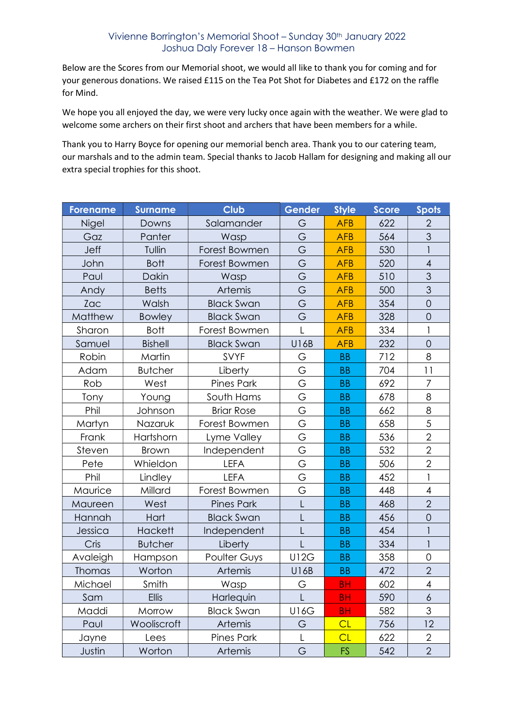## Vivienne Borrington's Memorial Shoot – Sunday 30th January 2022 Joshua Daly Forever 18 – Hanson Bowmen

Below are the Scores from our Memorial shoot, we would all like to thank you for coming and for your generous donations. We raised £115 on the Tea Pot Shot for Diabetes and £172 on the raffle for Mind.

We hope you all enjoyed the day, we were very lucky once again with the weather. We were glad to welcome some archers on their first shoot and archers that have been members for a while.

Thank you to Harry Boyce for opening our memorial bench area. Thank you to our catering team, our marshals and to the admin team. Special thanks to Jacob Hallam for designing and making all our extra special trophies for this shoot.

| <b>Forename</b> | <b>Surname</b> | <b>Club</b>       | Gender      | <b>Style</b> | Score | Spots                     |
|-----------------|----------------|-------------------|-------------|--------------|-------|---------------------------|
| Nigel           | Downs          | Salamander        | G           | <b>AFB</b>   | 622   | $\overline{2}$            |
| Gaz             | Panter         | Wasp              | G           | <b>AFB</b>   | 564   | 3                         |
| Jeff            | Tullin         | Forest Bowmen     | G           | <b>AFB</b>   | 530   |                           |
| John            | <b>Bott</b>    | Forest Bowmen     | G           | <b>AFB</b>   | 520   | $\overline{4}$            |
| Paul            | Dakin          | Wasp              | G           | <b>AFB</b>   | 510   | 3                         |
| Andy            | <b>Betts</b>   | Artemis           | G           | <b>AFB</b>   | 500   | 3                         |
| Zac             | Walsh          | <b>Black Swan</b> | G           | <b>AFB</b>   | 354   | $\mathbf 0$               |
| Matthew         | <b>Bowley</b>  | <b>Black Swan</b> | G           | <b>AFB</b>   | 328   | $\mathsf O$               |
| Sharon          | <b>Bott</b>    | Forest Bowmen     | L           | <b>AFB</b>   | 334   | $\mathbf{1}$              |
| Samuel          | <b>Bishell</b> | <b>Black Swan</b> | U16B        | <b>AFB</b>   | 232   | $\overline{O}$            |
| Robin           | Martin         | SVYF              | G           | <b>BB</b>    | 712   | 8                         |
| Adam            | <b>Butcher</b> | Liberty           | G           | <b>BB</b>    | 704   | 11                        |
| Rob             | West           | <b>Pines Park</b> | G           | <b>BB</b>    | 692   | $\overline{7}$            |
| Tony            | Young          | South Hams        | G           | <b>BB</b>    | 678   | 8                         |
| Phil            | Johnson        | <b>Briar Rose</b> | G           | <b>BB</b>    | 662   | 8                         |
| Martyn          | Nazaruk        | Forest Bowmen     | G           | <b>BB</b>    | 658   | 5                         |
| Frank           | Hartshorn      | Lyme Valley       | G           | <b>BB</b>    | 536   | $\overline{2}$            |
| Steven          | <b>Brown</b>   | Independent       | G           | <b>BB</b>    | 532   | $\overline{2}$            |
| Pete            | Whieldon       | <b>LEFA</b>       | G           | <b>BB</b>    | 506   | $\overline{2}$            |
| Phil            | Lindley        | <b>LEFA</b>       | G           | <b>BB</b>    | 452   |                           |
| Maurice         | Millard        | Forest Bowmen     | G           | <b>BB</b>    | 448   | $\overline{\mathcal{A}}$  |
| Maureen         | West           | <b>Pines Park</b> | L           | <b>BB</b>    | 468   | $\overline{2}$            |
| Hannah          | Hart           | <b>Black Swan</b> | L           | <b>BB</b>    | 456   | $\mathbf 0$               |
| Jessica         | <b>Hackett</b> | Independent       | L           | <b>BB</b>    | 454   | 1                         |
| Cris            | <b>Butcher</b> | Liberty           | L           | <b>BB</b>    | 334   | $\overline{\phantom{a}}$  |
| Avaleigh        | Hampson        | Poulter Guys      | <b>U12G</b> | <b>BB</b>    | 358   | $\mathbf 0$               |
| <b>Thomas</b>   | Worton         | Artemis           | U16B        | <b>BB</b>    | 472   | $\overline{2}$            |
| Michael         | Smith          | Wasp              | G           | <b>BH</b>    | 602   | $\overline{4}$            |
| Sam             | <b>Ellis</b>   | Harlequin         | L           | <b>BH</b>    | 590   | 6                         |
| Maddi           | Morrow         | <b>Black Swan</b> | <b>U16G</b> | <b>BH</b>    | 582   | $\ensuremath{\mathsf{3}}$ |
| Paul            | Wooliscroft    | Artemis           | G           | CL           | 756   | 12                        |
| Jayne           | Lees           | <b>Pines Park</b> | L           | CL           | 622   | $\mathbf{2}$              |
| Justin          | Worton         | Artemis           | G           | <b>FS</b>    | 542   | $\overline{2}$            |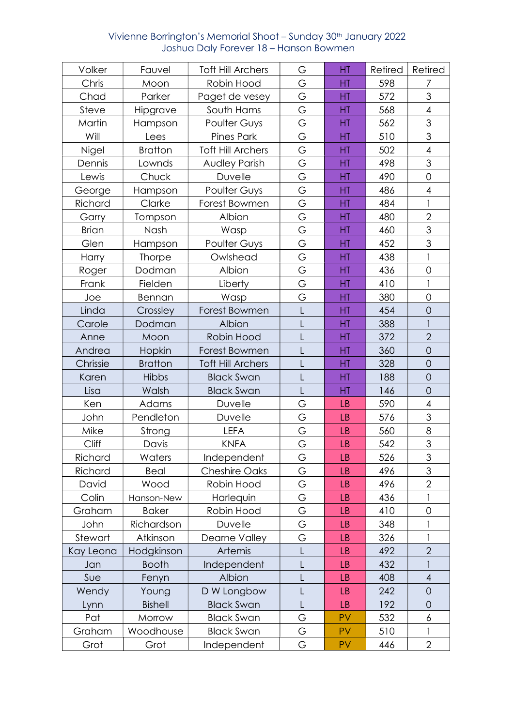## Vivienne Borrington's Memorial Shoot – Sunday 30th January 2022 Joshua Daly Forever 18 – Hanson Bowmen

| Volker       | Fauvel         | <b>Toft Hill Archers</b> | G            | HT        | Retired | Retired                  |
|--------------|----------------|--------------------------|--------------|-----------|---------|--------------------------|
| Chris        | Moon           | Robin Hood               | G            | HT        | 598     | 7                        |
| Chad         | Parker         | Paget de vesey           | G            | HT        | 572     | 3                        |
| Steve        | Hipgrave       | South Hams               | G            | HT        | 568     | $\overline{4}$           |
| Martin       | Hampson        | Poulter Guys             | G            | HT        | 562     | $\mathfrak{S}$           |
| Will         | Lees           | <b>Pines Park</b>        | G            | HT        | 510     | 3                        |
| Nigel        | <b>Bratton</b> | <b>Toft Hill Archers</b> | G            | HT        | 502     | $\overline{\mathcal{A}}$ |
| Dennis       | Lownds         | <b>Audley Parish</b>     | G            | HT        | 498     | 3                        |
| Lewis        | Chuck          | Duvelle                  | G            | HT        | 490     | $\mathsf{O}\xspace$      |
| George       | Hampson        | Poulter Guys             | G            | HT        | 486     | $\overline{4}$           |
| Richard      | Clarke         | Forest Bowmen            | G            | HT        | 484     |                          |
| Garry        | Tompson        | Albion                   | G            | HT        | 480     | $\overline{2}$           |
| <b>Brian</b> | Nash           | Wasp                     | G            | HT        | 460     | 3                        |
| Glen         | Hampson        | Poulter Guys             | G            | HT        | 452     | 3                        |
| Harry        | <b>Thorpe</b>  | Owlshead                 | G            | HT        | 438     | $\mathbf{1}$             |
| Roger        | Dodman         | Albion                   | G            | HT        | 436     | $\mathbf 0$              |
| Frank        | Fielden        | Liberty                  | G            | HT        | 410     | $\mathbf{1}$             |
| Joe          | Bennan         | Wasp                     | G            | HT        | 380     | $\overline{O}$           |
| Linda        | Crossley       | Forest Bowmen            | L            | HT        | 454     | $\mathbf 0$              |
| Carole       | Dodman         | Albion                   | L            | HT        | 388     |                          |
| Anne         | Moon           | Robin Hood               | Ĺ            | HT        | 372     | $\overline{2}$           |
| Andrea       | Hopkin         | Forest Bowmen            | L            | HT        | 360     | $\mathbf 0$              |
| Chrissie     | <b>Bratton</b> | <b>Toft Hill Archers</b> | L            | HT        | 328     | $\mathbf 0$              |
| Karen        | <b>Hibbs</b>   | <b>Black Swan</b>        | L            | HT        | 188     | $\mathbf 0$              |
| Lisa         | Walsh          | <b>Black Swan</b>        | $\mathsf{L}$ | HT        | 146     | $\mathbf 0$              |
| Ken          | Adams          | Duvelle                  | G            | <b>LB</b> | 590     | $\overline{\mathcal{A}}$ |
| John         | Pendleton      | Duvelle                  | G            | <b>LB</b> | 576     | 3                        |
| Mike         | Strong         | <b>LEFA</b>              | G            | <b>LB</b> | 560     | $\,8\,$                  |
| Cliff        | Davis          | <b>KNFA</b>              | G            | <b>LB</b> | 542     | 3                        |
| Richard      | Waters         | Independent              | G            | <b>LB</b> | 526     | 3                        |
| Richard      | Beal           | <b>Cheshire Oaks</b>     | G            | <b>LB</b> | 496     | 3                        |
| David        | Wood           | Robin Hood               | G            | <b>LB</b> | 496     | $\overline{2}$           |
| Colin        | Hanson-New     | Harlequin                | G            | <b>LB</b> | 436     |                          |
| Graham       | <b>Baker</b>   | Robin Hood               | G            | <b>LB</b> | 410     | $\mathbf 0$              |
| John         | Richardson     | Duvelle                  | G            | <b>LB</b> | 348     |                          |
| Stewart      | Atkinson       | Dearne Valley            | G            | <b>LB</b> | 326     |                          |
| Kay Leona    | Hodgkinson     | Artemis                  |              | <b>LB</b> | 492     | $\overline{2}$           |
| Jan          | <b>Booth</b>   | Independent              | L            | <b>LB</b> | 432     | 1                        |
| Sue          | Fenyn          | Albion                   | L            | <b>LB</b> | 408     | $\overline{4}$           |
| Wendy        | Young          | D W Longbow              | L            | LB        | 242     | $\overline{0}$           |
| Lynn         | <b>Bishell</b> | <b>Black Swan</b>        | L            | <b>LB</b> | 192     | $\mathbf 0$              |
| Pat          | Morrow         | <b>Black Swan</b>        | G            | PV        | 532     | 6                        |
| Graham       | Woodhouse      | <b>Black Swan</b>        | G            | PV        | 510     |                          |
| Grot         | Grot           | Independent              | G            | PV        | 446     | $\overline{2}$           |
|              |                |                          |              |           |         |                          |